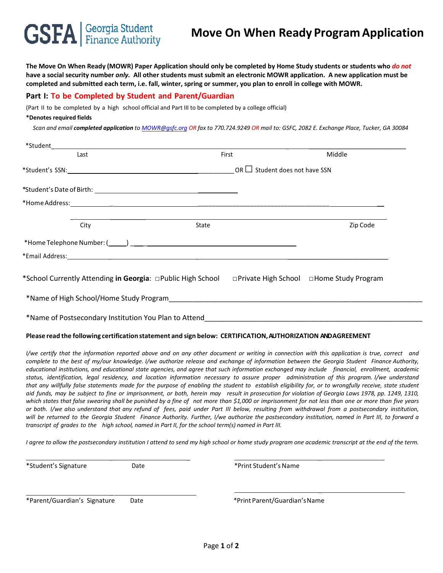# **GSFA** Student

# **Move On When Ready Program Application**

**The Move On When Ready (MOWR) Paper Application should only be completed by Home Study students or students who** *do not* **have a social security number** *only.* **All other students must submit an electronic MOWR application. A new application must be completed and submitted each term, i.e. fall, winter, spring or summer, you plan to enroll in college with MOWR.**

### **Part I: To be Completed by Student and Parent/Guardian**

(Part II to be completed by a high school official and Part III to be completed by a college official)

#### **\*Denotes required fields**

*Scan and email completed application to [MOWR@gsfc.org](mailto:MOWR@gsfc.org) OR fax to 770.724.9249 OR mail to: GSFC, 2082 E. Exchange Place, Tucker, GA 30084*

| Last                                                                                                           | First |  | Middle   |  |
|----------------------------------------------------------------------------------------------------------------|-------|--|----------|--|
|                                                                                                                |       |  |          |  |
|                                                                                                                |       |  |          |  |
|                                                                                                                |       |  |          |  |
| City                                                                                                           | State |  | Zip Code |  |
|                                                                                                                |       |  |          |  |
| *Email Address: No. 2014 19:30 Address: No. 2014 19:30 Address: No. 2014 19:30 Address: No. 2014 19:30 Address |       |  |          |  |
| *School Currently Attending in Georgia: public High School private High School prome Study Program             |       |  |          |  |
| *Name of High School/Home Study Program                                                                        |       |  |          |  |
| *Name of Postsecondary Institution You Plan to Attend                                                          |       |  |          |  |

#### **Please read the following certification statement and sign below: CERTIFICATION,AUTHORIZATION ANDAGREEMENT**

I/we certify that the information reported above and on any other document or writing in connection with this application is true, correct and complete to the best of my/our knowledge. I/we authorize release and exchange of information between the Georgia Student Finance Authority, educational institutions, and educational state agencies, and agree that such information exchanged may include financial, enrollment, academic status, identification, legal residency, and location information necessary to assure proper administration of this program. I/we understand that any willfully false statements made for the purpose of enabling the student to establish eligibility for, or to wrongfully receive, state student aid funds, may be subject to fine or imprisonment, or both, herein may result in prosecution for violation of Georgia Laws 1978, pp. 1249, 1310, which states that false swearing shall be punished by a fine of not more than \$1,000 or imprisonment for not less than one or more than five years or both. I/we also understand that any refund of fees, paid under Part III below, resulting from withdrawal from a postsecondary institution, will be returned to the Georgia Student Finance Authority. Further, I/we authorize the postsecondary institution, named in Part III, to forward a transcript of grades to the high school, named in Part II, for the school term(s) named in Part III.

*I agree to allow the postsecondary institution I attend to send my high school or home study program one academic transcript at the end of the term.*

\_ \_ \_

\_ \_

\*Student's Signature The Controller of the Date the Student's Name \*Print Student's Name

\*Parent/Guardian's Signature Date \*Print Parent/Guardian'sName